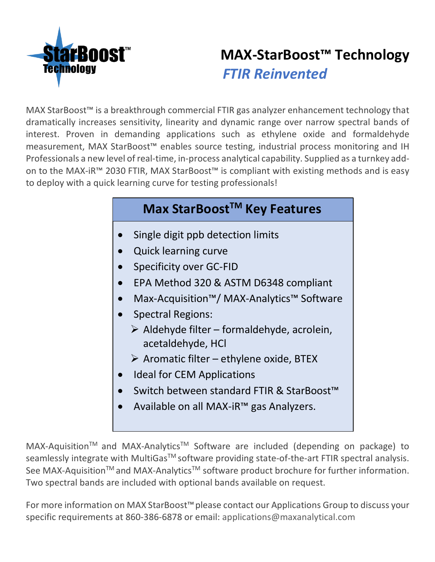

# **MAX-StarBoost™ Technology** *FTIR Reinvented*

MAX StarBoost™ is a breakthrough commercial FTIR gas analyzer enhancement technology that dramatically increases sensitivity, linearity and dynamic range over narrow spectral bands of interest. Proven in demanding applications such as ethylene oxide and formaldehyde measurement, MAX StarBoost™ enables source testing, industrial process monitoring and IH Professionals a new level of real-time, in-process analytical capability. Supplied as a turnkey addon to the MAX-iR™ 2030 FTIR, MAX StarBoost™ is compliant with existing methods and is easy to deploy with a quick learning curve for testing professionals!

### **Max StarBoostTM Key Features**

- Single digit ppb detection limits
- Quick learning curve
- Specificity over GC-FID
- EPA Method 320 & ASTM D6348 compliant
- Max-Acquisition™/ MAX-Analytics™ Software
- Spectral Regions:
	- $\triangleright$  Aldehyde filter formaldehyde, acrolein, acetaldehyde, HCl
	- $\triangleright$  Aromatic filter ethylene oxide, BTEX
- Ideal for CEM Applications
- Switch between standard FTIR & StarBoost™
- Available on all MAX-iR™ gas Analyzers.

MAX-Aquisition™ and MAX-Analytics™ Software are included (depending on package) to seamlessly integrate with MultiGas<sup>TM</sup> software providing state-of-the-art FTIR spectral analysis. See MAX-Aquisition™ and MAX-Analytics<sup>™</sup> software product brochure for further information. Two spectral bands are included with optional bands available on request.

For more information on MAX StarBoost™please contact our Applications Group to discuss your specific requirements at 860-386-6878 or email: applications@maxanalytical.com